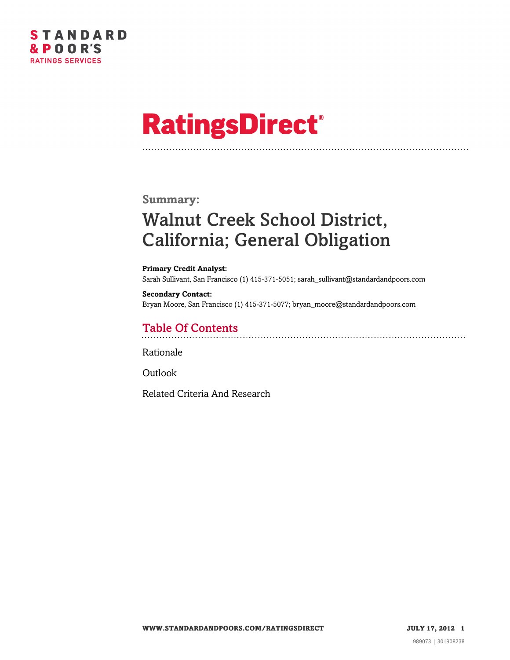

# **RatingsDirect®**

### **Summary:**

## Walnut Creek School District, California; General Obligation

**Primary Credit Analyst:** Sarah Sullivant, San Francisco (1) 415-371-5051; sarah\_sullivant@standardandpoors.com

#### **Secondary Contact:** Bryan Moore, San Francisco (1) 415-371-5077; bryan\_moore@standardandpoors.com

### Table Of Contents

[Rationale](#page-1-0)

[Outlook](#page-2-0)

[Related Criteria And Research](#page-3-0)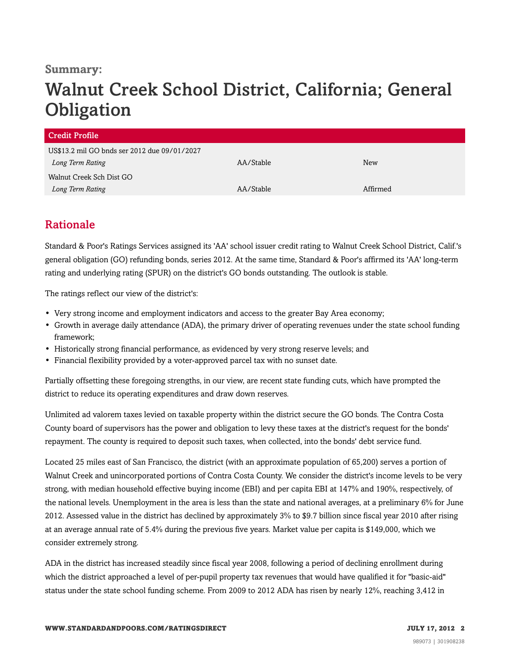### **Summary:**

## Walnut Creek School District, California; General **Obligation**

| Credit Profile                               |           |            |  |
|----------------------------------------------|-----------|------------|--|
| US\$13.2 mil GO bnds ser 2012 due 09/01/2027 |           |            |  |
| Long Term Rating                             | AA/Stable | <b>New</b> |  |
| Walnut Creek Sch Dist GO                     |           |            |  |
| Long Term Rating                             | AA/Stable | Affirmed   |  |

### <span id="page-1-0"></span>Rationale

Standard & Poor's Ratings Services assigned its 'AA' school issuer credit rating to Walnut Creek School District, Calif.'s general obligation (GO) refunding bonds, series 2012. At the same time, Standard & Poor's affirmed its 'AA' long-term rating and underlying rating (SPUR) on the district's GO bonds outstanding. The outlook is stable.

The ratings reflect our view of the district's:

- Very strong income and employment indicators and access to the greater Bay Area economy;
- Growth in average daily attendance (ADA), the primary driver of operating revenues under the state school funding framework;
- Historically strong financial performance, as evidenced by very strong reserve levels; and
- Financial flexibility provided by a voter-approved parcel tax with no sunset date.

Partially offsetting these foregoing strengths, in our view, are recent state funding cuts, which have prompted the district to reduce its operating expenditures and draw down reserves.

Unlimited ad valorem taxes levied on taxable property within the district secure the GO bonds. The Contra Costa County board of supervisors has the power and obligation to levy these taxes at the district's request for the bonds' repayment. The county is required to deposit such taxes, when collected, into the bonds' debt service fund.

Located 25 miles east of San Francisco, the district (with an approximate population of 65,200) serves a portion of Walnut Creek and unincorporated portions of Contra Costa County. We consider the district's income levels to be very strong, with median household effective buying income (EBI) and per capita EBI at 147% and 190%, respectively, of the national levels. Unemployment in the area is less than the state and national averages, at a preliminary 6% for June 2012. Assessed value in the district has declined by approximately 3% to \$9.7 billion since fiscal year 2010 after rising at an average annual rate of 5.4% during the previous five years. Market value per capita is \$149,000, which we consider extremely strong.

ADA in the district has increased steadily since fiscal year 2008, following a period of declining enrollment during which the district approached a level of per-pupil property tax revenues that would have qualified it for "basic-aid" status under the state school funding scheme. From 2009 to 2012 ADA has risen by nearly 12%, reaching 3,412 in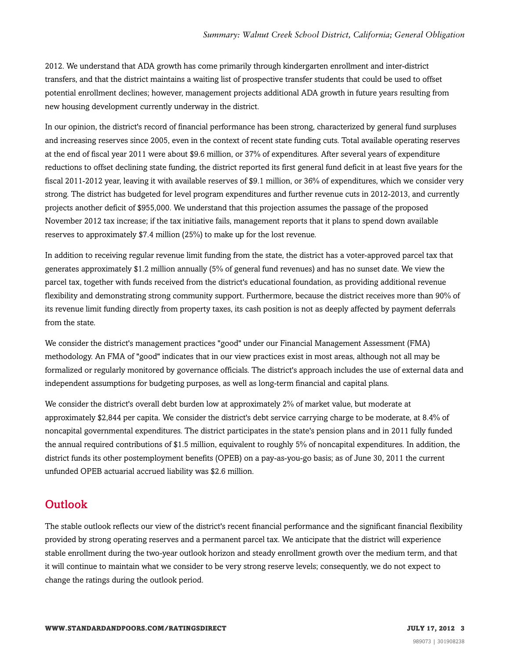2012. We understand that ADA growth has come primarily through kindergarten enrollment and inter-district transfers, and that the district maintains a waiting list of prospective transfer students that could be used to offset potential enrollment declines; however, management projects additional ADA growth in future years resulting from new housing development currently underway in the district.

In our opinion, the district's record of financial performance has been strong, characterized by general fund surpluses and increasing reserves since 2005, even in the context of recent state funding cuts. Total available operating reserves at the end of fiscal year 2011 were about \$9.6 million, or 37% of expenditures. After several years of expenditure reductions to offset declining state funding, the district reported its first general fund deficit in at least five years for the fiscal 2011-2012 year, leaving it with available reserves of \$9.1 million, or 36% of expenditures, which we consider very strong. The district has budgeted for level program expenditures and further revenue cuts in 2012-2013, and currently projects another deficit of \$955,000. We understand that this projection assumes the passage of the proposed November 2012 tax increase; if the tax initiative fails, management reports that it plans to spend down available reserves to approximately \$7.4 million (25%) to make up for the lost revenue.

In addition to receiving regular revenue limit funding from the state, the district has a voter-approved parcel tax that generates approximately \$1.2 million annually (5% of general fund revenues) and has no sunset date. We view the parcel tax, together with funds received from the district's educational foundation, as providing additional revenue flexibility and demonstrating strong community support. Furthermore, because the district receives more than 90% of its revenue limit funding directly from property taxes, its cash position is not as deeply affected by payment deferrals from the state.

We consider the district's management practices "good" under our Financial Management Assessment (FMA) methodology. An FMA of "good" indicates that in our view practices exist in most areas, although not all may be formalized or regularly monitored by governance officials. The district's approach includes the use of external data and independent assumptions for budgeting purposes, as well as long-term financial and capital plans.

We consider the district's overall debt burden low at approximately 2% of market value, but moderate at approximately \$2,844 per capita. We consider the district's debt service carrying charge to be moderate, at 8.4% of noncapital governmental expenditures. The district participates in the state's pension plans and in 2011 fully funded the annual required contributions of \$1.5 million, equivalent to roughly 5% of noncapital expenditures. In addition, the district funds its other postemployment benefits (OPEB) on a pay-as-you-go basis; as of June 30, 2011 the current unfunded OPEB actuarial accrued liability was \$2.6 million.

### <span id="page-2-0"></span>**Outlook**

The stable outlook reflects our view of the district's recent financial performance and the significant financial flexibility provided by strong operating reserves and a permanent parcel tax. We anticipate that the district will experience stable enrollment during the two-year outlook horizon and steady enrollment growth over the medium term, and that it will continue to maintain what we consider to be very strong reserve levels; consequently, we do not expect to change the ratings during the outlook period.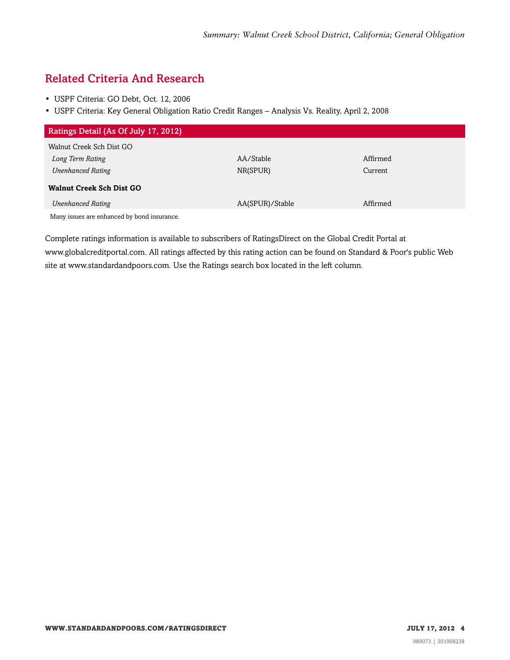### <span id="page-3-0"></span>Related Criteria And Research

- USPF Criteria: GO Debt, Oct. 12, 2006
- USPF Criteria: Key General Obligation Ratio Credit Ranges Analysis Vs. Reality, April 2, 2008

| Ratings Detail (As Of July 17, 2012)        |                 |          |
|---------------------------------------------|-----------------|----------|
| Walnut Creek Sch Dist GO                    |                 |          |
| Long Term Rating                            | AA/Stable       | Affirmed |
| <b>Unenhanced Rating</b>                    | NR(SPUR)        | Current  |
| <b>Walnut Creek Sch Dist GO</b>             |                 |          |
| <b>Unenhanced Rating</b>                    | AA(SPUR)/Stable | Affirmed |
| Many issues are enhanced by bond insurance. |                 |          |

Complete ratings information is available to subscribers of RatingsDirect on the Global Credit Portal at www.globalcreditportal.com. All ratings affected by this rating action can be found on Standard & Poor's public Web site at www.standardandpoors.com. Use the Ratings search box located in the left column.